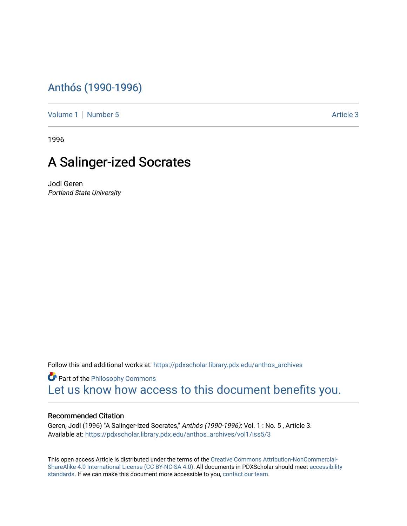## [Anthós \(1990-1996\)](https://pdxscholar.library.pdx.edu/anthos_archives)

[Volume 1](https://pdxscholar.library.pdx.edu/anthos_archives/vol1) | [Number 5](https://pdxscholar.library.pdx.edu/anthos_archives/vol1/iss5) Article 3

1996

## A Salinger-ized Socrates

Jodi Geren Portland State University

Follow this and additional works at: [https://pdxscholar.library.pdx.edu/anthos\\_archives](https://pdxscholar.library.pdx.edu/anthos_archives?utm_source=pdxscholar.library.pdx.edu%2Fanthos_archives%2Fvol1%2Fiss5%2F3&utm_medium=PDF&utm_campaign=PDFCoverPages)

**P** Part of the Philosophy Commons [Let us know how access to this document benefits you.](http://library.pdx.edu/services/pdxscholar-services/pdxscholar-feedback/) 

## Recommended Citation

Geren, Jodi (1996) "A Salinger-ized Socrates," Anthós (1990-1996): Vol. 1 : No. 5 , Article 3. Available at: [https://pdxscholar.library.pdx.edu/anthos\\_archives/vol1/iss5/3](https://pdxscholar.library.pdx.edu/anthos_archives/vol1/iss5/3?utm_source=pdxscholar.library.pdx.edu%2Fanthos_archives%2Fvol1%2Fiss5%2F3&utm_medium=PDF&utm_campaign=PDFCoverPages) 

This open access Article is distributed under the terms of the [Creative Commons Attribution-NonCommercial-](https://creativecommons.org/licenses/by-nc-sa/4.0/)[ShareAlike 4.0 International License \(CC BY-NC-SA 4.0\).](https://creativecommons.org/licenses/by-nc-sa/4.0/) All documents in PDXScholar should meet [accessibility](https://pdxscholar.library.pdx.edu/accessibility.html) [standards](https://pdxscholar.library.pdx.edu/accessibility.html). If we can make this document more accessible to you, [contact our team.](mailto:pdxscholar@pdx.edu)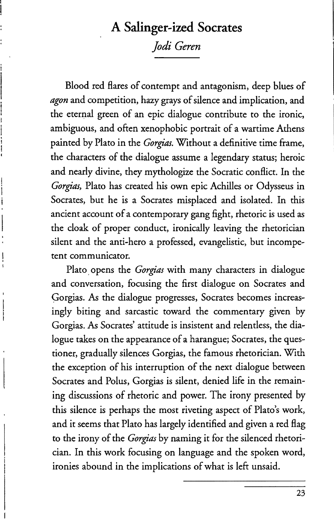## **A Salinger-ized Socrates**

*Jodi Geren* 

Blood red flares of contempt and antagonism, deep blues of *agon* and competition, hazy grays of silence and implication, and the eternal green of an epic dialogue contribute to the ironic, ambiguous, and often xenophobic portrait of a wartime Athens painted by Plato in the *Corgias.* Without a definitive time frame, the characters of the dialogue assume a legendary status; heroic and nearly divine, they mythologize the Socratic conflict. In the *Corgias,* Plato has created his own epic Achilles or Odysseus in Socrates, but he is a Socrates misplaced and isolated. In this ancient account of a contemporary gang fight, rhetoric is used as the cloak of proper conduct, ironically leaving the rhetorician silent and the anti-hero a professed, evangelistic, but incompetent communicator.

Plato, opens the *Corgias* with many characters in dialogue and conversation, focusing the first dialogue on Socrates and Gorgias. As the dialogue progresses, Socrates becomes increasingly biting and sarcastic toward the commentary given by Gorgias. As Socrates' attitude is insistent and relentless, the dialogue takes on the appearance of a harangue; Socrates, the questioner, gradually silences Gorgias, the famous rhetorician. With the exception of his interruption of the next dialogue between Socrates and Polus, Gorgias is silent, denied life in the remaining discussions of rhetoric and power. The irony presented by this silence is perhaps the most riveting aspect of Plato's work, and it seems that Plato has largely identified and given a red flag to the irony of the *Corgias* by naming it for the silenced rhetorician. In this work focusing on language and the spoken word, ironies abound in the implications of what is left unsaid.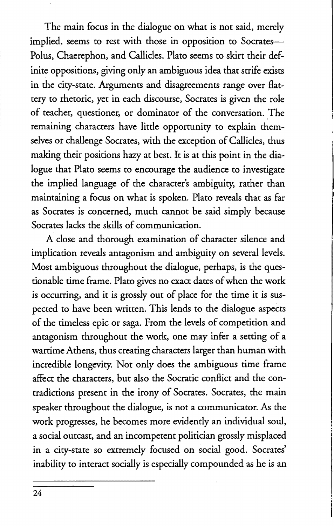The main focus in the dialogue on what is not said, merely implied, seems to rest with those in opposition to Socrates-Polus, Chaerephon, and Callides. Plato seems to skirt their definite oppositions, giving only an ambiguous idea that strife exists in the city-state. Arguments and disagreements range over flattery to rhetoric, yet in each discourse, Socrates is given the role of teacher, questioner, or dominator of the conversation. The remaining characters have little opportunity to explain themselves or challenge Socrates, with the exception of Callicles, thus making their positions hazy at best. It is at this point in the dialogue that Plato seems to encourage the audience to investigate the implied language of the character's ambiguity, rather than maintaining a focus on what is spoken. Plato reveals that as far as Socrates is concerned, much cannot be said simply because Socrates lacks the skills of communication.

A close and thorough examination of character silence and implication reveals antagonism and ambiguity on several levels. Most ambiguous throughout the dialogue, perhaps, is the questionable time frame. Plato gives no exact dates of when the work is occurring, and it is grossly out of place for the time it is suspected to have been written. This lends to the dialogue aspects of the timeless epic or saga. From the levels of competition and antagonism throughout the work, one may infer a setting of a wartime Athens, thus creating characters larger than human with incredible longevity. Not only does the ambiguous time frame affect the characters, but also the Socratic conflict and the contradictions present in the irony of Socrates. Socrates, the main speaker throughout the dialogue, is not a communicator. As the work progresses, he becomes more evidently an individual soul, a social outcast, and an incompetent politician grossly misplaced in a city-state so extremely focused on social good. Socrates' inability to interact socially is especially compounded as he is an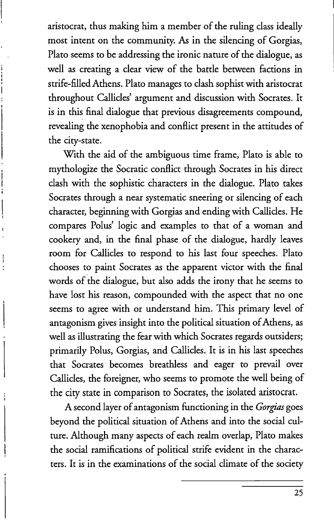aristocrat, thus making him a member of the ruling class ideally most intent on the community. As in the silencing of Gorgias, Plato seems to be addressing the ironic nature of the dialogue, as well as creating a clear view of the battle between factions in strife-filled Athens. Plato manages to clash sophist with aristocrat throughout Callicles' argument and discussion with Socrates. It is in this final dialogue that previous disagreements compound, revealing the xenophobia and conflict present in the attitudes of the city-state.

With the aid of the ambiguous time frame, Plato is able to mythologize the Socratic conflict through Socrates in his direct clash with the sophistic characters in the dialogue. Plato takes Socrates through a near systematic sneering or silencing of each character, beginning with Gorgias and ending with Callicles. He compares Polus' logic and examples to that of a woman and cookery and, in the final phase of the dialogue, hardly leaves room for Callicles to respond to his last four speeches. Plato chooses to paint Socrates as the apparent victor with the final words of the dialogue, but also adds the irony that he seems to have lost his reason, compounded with the aspect that no one seems to agree with or understand him. This primary level of antagonism gives insight into the political situation of Athens, as well as illustrating the fear with which Socrates regards outsiders; primarily Polus, Gorgias, and Callicles. It is in his last speeches that Socrates becomes breathless and eager to prevail over Callicles, the foreigner, who seems to promote the well being of the city state in comparison to Socrates, the isolated aristocrat.

A second layer of antagonism functioning in the *Gorgias* goes beyond the political situation of Athens and into the social culture. Although many aspects of each realm overlap, Plato makes the social ramifications of political strife evident in the characters. It is in the examinations of the social climate of the society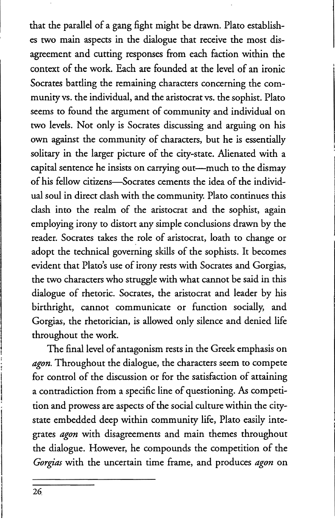that the parallel of a gang fight might be drawn. Plato establishes two main aspects in the dialogue that receive the most disagreement and cutting responses from each faction within the context of the work. Each are founded at the level of an ironic Socrates battling the remaining characters concerning the community vs. the individual, and the aristocrat vs. the sophist. Plato seems to found the argument of community and individual on two levels. Not only is Socrates discussing and arguing on his own against the community of characters, but he is essentially solitary in the larger picture of the city-state. Alienated with a capital sentence he insists on carrying out-much to the dismay of his fellow citizens-Socrates cements the idea of the individual soul in direct clash with the community. Plato continues this clash into the realm of the aristocrat and the sophist, again employing irony to distort any simple conclusions drawn by the reader. Socrates takes the role of aristocrat, loath to change or adopt the technical governing skills of the sophists. It becomes evident that Plato's use of irony rests with Socrates and Gorgias, the two characters who struggle with what cannot be said in this dialogue of rhetoric. Socrates, the aristocrat and leader by his birthright, cannot communicate or function socially, and Gorgias, the rhetorician, is allowed only silence and denied life throughout the work.

The final level of antagonism rests in the Greek emphasis on *agon.* Throughout the dialogue, the characters seem to compete for control of the discussion or for the satisfaction of attaining a contradiction from a specific line of questioning. As competition and prowess are aspects of the social culture within the citystate embedded deep within community life, Plato easily integrates *agon* with disagreements and main themes throughout the dialogue. However, he compounds the competition of the *Gorgias* with the uncertain time frame, and produces *agon* on